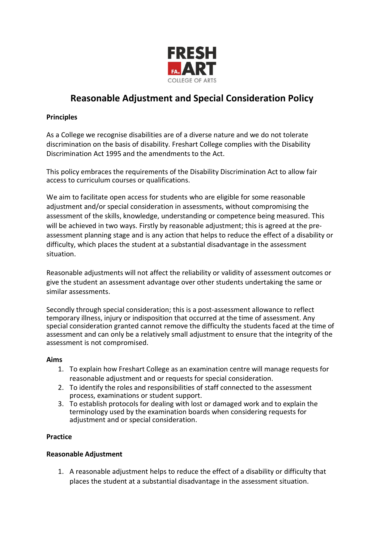

# **Reasonable Adjustment and Special Consideration Policy**

## **Principles**

As a College we recognise disabilities are of a diverse nature and we do not tolerate discrimination on the basis of disability. Freshart College complies with the Disability Discrimination Act 1995 and the amendments to the Act.

This policy embraces the requirements of the Disability Discrimination Act to allow fair access to curriculum courses or qualifications.

We aim to facilitate open access for students who are eligible for some reasonable adjustment and/or special consideration in assessments, without compromising the assessment of the skills, knowledge, understanding or competence being measured. This will be achieved in two ways. Firstly by reasonable adjustment; this is agreed at the preassessment planning stage and is any action that helps to reduce the effect of a disability or difficulty, which places the student at a substantial disadvantage in the assessment situation.

Reasonable adjustments will not affect the reliability or validity of assessment outcomes or give the student an assessment advantage over other students undertaking the same or similar assessments.

Secondly through special consideration; this is a post-assessment allowance to reflect temporary illness, injury or indisposition that occurred at the time of assessment. Any special consideration granted cannot remove the difficulty the students faced at the time of assessment and can only be a relatively small adjustment to ensure that the integrity of the assessment is not compromised.

### **Aims**

- 1. To explain how Freshart College as an examination centre will manage requests for reasonable adjustment and or requests for special consideration.
- 2. To identify the roles and responsibilities of staff connected to the assessment process, examinations or student support.
- 3. To establish protocols for dealing with lost or damaged work and to explain the terminology used by the examination boards when considering requests for adjustment and or special consideration.

## **Practice**

### **Reasonable Adjustment**

1. A reasonable adjustment helps to reduce the effect of a disability or difficulty that places the student at a substantial disadvantage in the assessment situation.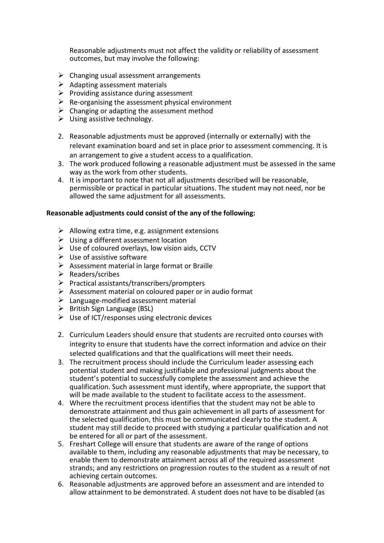Reasonable adjustments must not affect the validity or reliability of assessment outcomes, but may involve the following:

- $\triangleright$  Changing usual assessment arrangements
- $\triangleright$  Adapting assessment materials
- $\triangleright$  Providing assistance during assessment
- $\triangleright$  Re-organising the assessment physical environment
- $\triangleright$  Changing or adapting the assessment method
- $\triangleright$  Using assistive technology.
- 2. Reasonable adjustments must be approved (internally or externally) with the relevant examination board and set in place prior to assessment commencing. It is an arrangement to give a student access to a qualification.
- 3. The work produced following a reasonable adjustment must be assessed in the same way as the work from other students.
- 4. It is important to note that not all adjustments described will be reasonable, permissible or practical in particular situations. The student may not need, nor be allowed the same adjustment for all assessments.

#### **Reasonable adjustments could consist of the any of the following:**

- $\triangleright$  Allowing extra time, e.g. assignment extensions
- $\triangleright$  Using a different assessment location
- $\triangleright$  Use of coloured overlays, low vision aids, CCTV
- $\triangleright$  Use of assistive software
- $\triangleright$  Assessment material in large format or Braille
- $\triangleright$  Readers/scribes
- $\triangleright$  Practical assistants/transcribers/prompters
- $\triangleright$  Assessment material on coloured paper or in audio format
- $\triangleright$  Language-modified assessment material
- $\triangleright$  British Sign Language (BSL)
- $\triangleright$  Use of ICT/responses using electronic devices
- 2. Curriculum Leaders should ensure that students are recruited onto courses with integrity to ensure that students have the correct information and advice on their selected qualifications and that the qualifications will meet their needs.
- 3. The recruitment process should include the Curriculum leader assessing each potential student and making justifiable and professional judgments about the student's potential to successfully complete the assessment and achieve the qualification. Such assessment must identify, where appropriate, the support that will be made available to the student to facilitate access to the assessment.
- 4. Where the recruitment process identifies that the student may not be able to demonstrate attainment and thus gain achievement in all parts of assessment for the selected qualification, this must be communicated clearly to the student. A student may still decide to proceed with studying a particular qualification and not be entered for all or part of the assessment.
- 5. Freshart College will ensure that students are aware of the range of options available to them, including any reasonable adjustments that may be necessary, to enable them to demonstrate attainment across all of the required assessment strands; and any restrictions on progression routes to the student as a result of not achieving certain outcomes.
- 6. Reasonable adjustments are approved before an assessment and are intended to allow attainment to be demonstrated. A student does not have to be disabled (as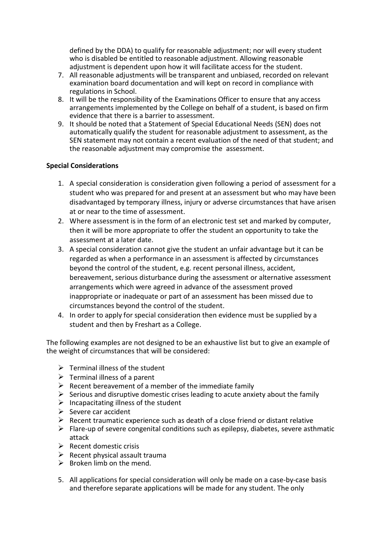defined by the DDA) to qualify for reasonable adjustment; nor will every student who is disabled be entitled to reasonable adjustment. Allowing reasonable adjustment is dependent upon how it will facilitate access for the student.

- 7. All reasonable adjustments will be transparent and unbiased, recorded on relevant examination board documentation and will kept on record in compliance with regulations in School.
- 8. It will be the responsibility of the Examinations Officer to ensure that any access arrangements implemented by the College on behalf of a student, is based on firm evidence that there is a barrier to assessment.
- 9. It should be noted that a Statement of Special Educational Needs (SEN) does not automatically qualify the student for reasonable adjustment to assessment, as the SEN statement may not contain a recent evaluation of the need of that student; and the reasonable adjustment may compromise the assessment.

## **Special Considerations**

- 1. A special consideration is consideration given following a period of assessment for a student who was prepared for and present at an assessment but who may have been disadvantaged by temporary illness, injury or adverse circumstances that have arisen at or near to the time of assessment.
- 2. Where assessment is in the form of an electronic test set and marked by computer, then it will be more appropriate to offer the student an opportunity to take the assessment at a later date.
- 3. A special consideration cannot give the student an unfair advantage but it can be regarded as when a performance in an assessment is affected by circumstances beyond the control of the student, e.g. recent personal illness, accident, bereavement, serious disturbance during the assessment or alternative assessment arrangements which were agreed in advance of the assessment proved inappropriate or inadequate or part of an assessment has been missed due to circumstances beyond the control of the student.
- 4. In order to apply for special consideration then evidence must be supplied by a student and then by Freshart as a College.

The following examples are not designed to be an exhaustive list but to give an example of the weight of circumstances that will be considered:

- $\triangleright$  Terminal illness of the student
- $\triangleright$  Terminal illness of a parent
- $\triangleright$  Recent bereavement of a member of the immediate family
- $\triangleright$  Serious and disruptive domestic crises leading to acute anxiety about the family
- $\triangleright$  Incapacitating illness of the student
- $\triangleright$  Severe car accident
- $\triangleright$  Recent traumatic experience such as death of a close friend or distant relative
- $\triangleright$  Flare-up of severe congenital conditions such as epilepsy, diabetes, severe asthmatic attack
- $\triangleright$  Recent domestic crisis
- $\triangleright$  Recent physical assault trauma
- $\triangleright$  Broken limb on the mend.
- 5. All applications for special consideration will only be made on a case-by-case basis and therefore separate applications will be made for any student. The only